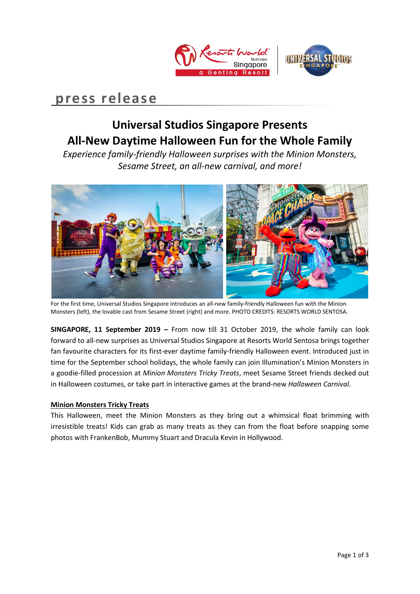



# **press release**

## **Universal Studios Singapore Presents All-New Daytime Halloween Fun for the Whole Family**

*Experience family-friendly Halloween surprises with the Minion Monsters, Sesame Street, an all-new carnival, and more!* 



For the first time, Universal Studios Singapore introduces an all-new family-friendly Halloween fun with the Minion Monsters (left), the lovable cast from Sesame Street (right) and more. PHOTO CREDITS: RESORTS WORLD SENTOSA.

**SINGAPORE, 11 September 2019 –** From now till 31 October 2019, the whole family can look forward to all-new surprises as Universal Studios Singapore at Resorts World Sentosa brings together fan favourite characters for its first-ever daytime family-friendly Halloween event. Introduced just in time for the September school holidays, the whole family can join Illumination's Minion Monsters in a goodie-filled procession at *Minion Monsters Tricky Treats*, meet Sesame Street friends decked out in Halloween costumes, or take part in interactive games at the brand-new *Halloween Carnival*.

## **Minion Monsters Tricky Treats**

This Halloween, meet the Minion Monsters as they bring out a whimsical float brimming with irresistible treats! Kids can grab as many treats as they can from the float before snapping some photos with FrankenBob, Mummy Stuart and Dracula Kevin in Hollywood.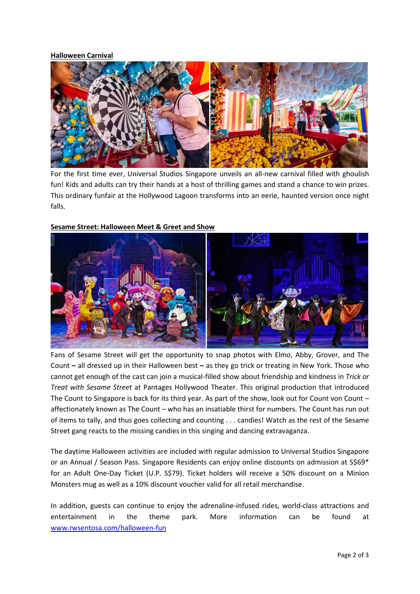## **Halloween Carnival**



For the first time ever, Universal Studios Singapore unveils an all-new carnival filled with ghoulish fun! Kids and adults can try their hands at a host of thrilling games and stand a chance to win prizes. This ordinary funfair at the Hollywood Lagoon transforms into an eerie, haunted version once night falls.



## **Sesame Street: Halloween Meet & Greet and Show**

Fans of Sesame Street will get the opportunity to snap photos with Elmo, Abby, Grover, and The Count **–** all dressed up in their Halloween best **–** as they go trick or treating in New York. Those who cannot get enough of the cast can join a musical-filled show about friendship and kindness in *Trick or Treat with Sesame Street* at Pantages Hollywood Theater. This original production that introduced The Count to Singapore is back for its third year. As part of the show, look out for Count von Count affectionately known as The Count – who has an insatiable thirst for numbers. The Count has run out of items to tally, and thus goes collecting and counting . . . candies! Watch as the rest of the Sesame Street gang reacts to the missing candies in this singing and dancing extravaganza.

The daytime Halloween activities are included with regular admission to Universal Studios Singapore or an Annual / Season Pass. Singapore Residents can enjoy online discounts on admission at S\$69\* for an Adult One-Day Ticket (U.P. S\$79). Ticket holders will receive a 50% discount on a Minion Monsters mug as well as a 10% discount voucher valid for all retail merchandise.

In addition, guests can continue to enjoy the adrenaline-infused rides, world-class attractions and entertainment in the theme park. More information can be found at [www.rwsentosa.com/halloween-fun](http://www.rwsentosa.com/halloween-fun)